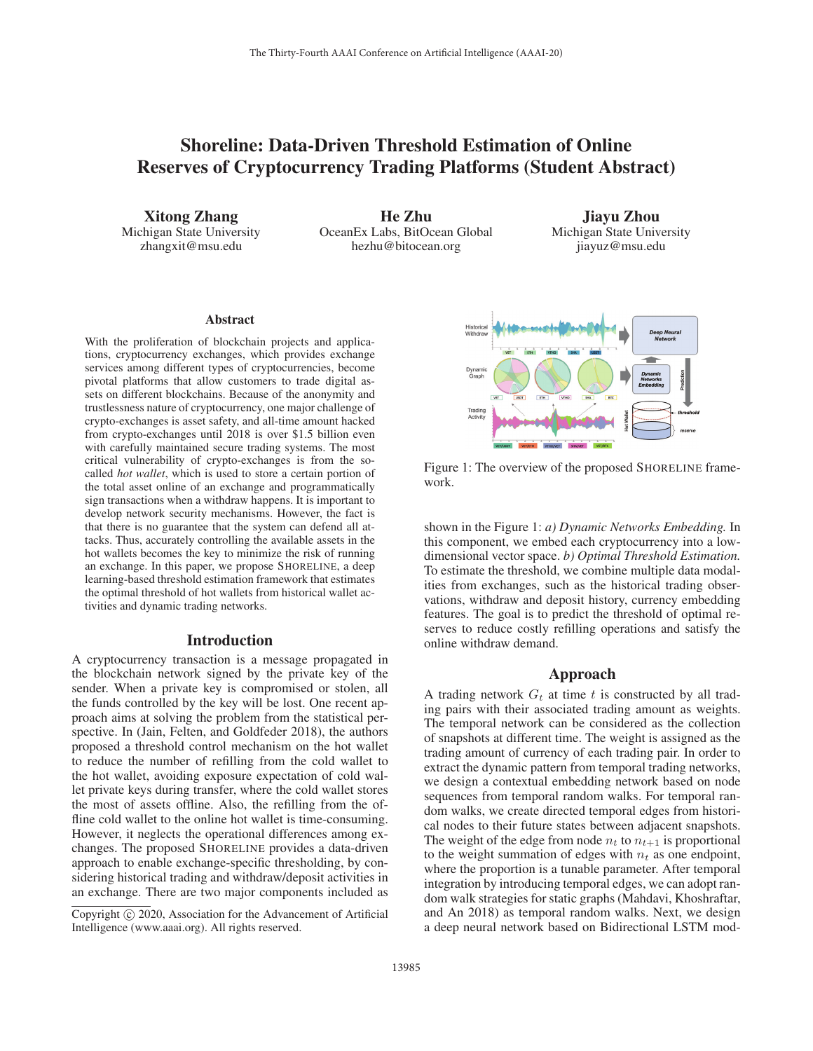# Shoreline: Data-Driven Threshold Estimation of Online Reserves of Cryptocurrency Trading Platforms (Student Abstract)

Xitong Zhang Michigan State University zhangxit@msu.edu

He Zhu OceanEx Labs, BitOcean Global hezhu@bitocean.org

Jiayu Zhou Michigan State University jiayuz@msu.edu

#### Abstract

With the proliferation of blockchain projects and applications, cryptocurrency exchanges, which provides exchange services among different types of cryptocurrencies, become pivotal platforms that allow customers to trade digital assets on different blockchains. Because of the anonymity and trustlessness nature of cryptocurrency, one major challenge of crypto-exchanges is asset safety, and all-time amount hacked from crypto-exchanges until 2018 is over \$1.5 billion even with carefully maintained secure trading systems. The most critical vulnerability of crypto-exchanges is from the socalled *hot wallet*, which is used to store a certain portion of the total asset online of an exchange and programmatically sign transactions when a withdraw happens. It is important to develop network security mechanisms. However, the fact is that there is no guarantee that the system can defend all attacks. Thus, accurately controlling the available assets in the hot wallets becomes the key to minimize the risk of running an exchange. In this paper, we propose SHORELINE, a deep learning-based threshold estimation framework that estimates the optimal threshold of hot wallets from historical wallet activities and dynamic trading networks.

### Introduction

A cryptocurrency transaction is a message propagated in the blockchain network signed by the private key of the sender. When a private key is compromised or stolen, all the funds controlled by the key will be lost. One recent approach aims at solving the problem from the statistical perspective. In (Jain, Felten, and Goldfeder 2018), the authors proposed a threshold control mechanism on the hot wallet to reduce the number of refilling from the cold wallet to the hot wallet, avoiding exposure expectation of cold wallet private keys during transfer, where the cold wallet stores the most of assets offline. Also, the refilling from the offline cold wallet to the online hot wallet is time-consuming. However, it neglects the operational differences among exchanges. The proposed SHORELINE provides a data-driven approach to enable exchange-specific thresholding, by considering historical trading and withdraw/deposit activities in an exchange. There are two major components included as



Figure 1: The overview of the proposed SHORELINE framework.

shown in the Figure 1: *a) Dynamic Networks Embedding.* In this component, we embed each cryptocurrency into a lowdimensional vector space. *b) Optimal Threshold Estimation.* To estimate the threshold, we combine multiple data modalities from exchanges, such as the historical trading observations, withdraw and deposit history, currency embedding features. The goal is to predict the threshold of optimal reserves to reduce costly refilling operations and satisfy the online withdraw demand.

#### Approach

A trading network  $G_t$  at time t is constructed by all trading pairs with their associated trading amount as weights. The temporal network can be considered as the collection of snapshots at different time. The weight is assigned as the trading amount of currency of each trading pair. In order to extract the dynamic pattern from temporal trading networks, we design a contextual embedding network based on node sequences from temporal random walks. For temporal random walks, we create directed temporal edges from historical nodes to their future states between adjacent snapshots. The weight of the edge from node  $n_t$  to  $n_{t+1}$  is proportional to the weight summation of edges with  $n_t$  as one endpoint, where the proportion is a tunable parameter. After temporal integration by introducing temporal edges, we can adopt random walk strategies for static graphs (Mahdavi, Khoshraftar, and An 2018) as temporal random walks. Next, we design a deep neural network based on Bidirectional LSTM mod-

Copyright  $\odot$  2020, Association for the Advancement of Artificial Intelligence (www.aaai.org). All rights reserved.